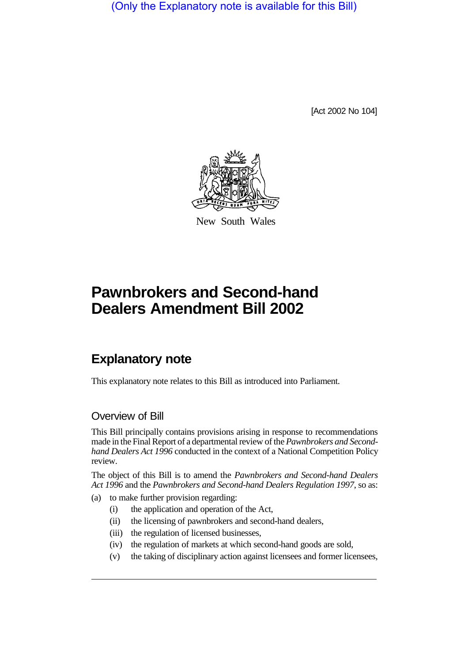(Only the Explanatory note is available for this Bill)

[Act 2002 No 104]



New South Wales

# **Pawnbrokers and Second-hand Dealers Amendment Bill 2002**

## **Explanatory note**

This explanatory note relates to this Bill as introduced into Parliament.

## Overview of Bill

This Bill principally contains provisions arising in response to recommendations made in the Final Report of a departmental review of the *Pawnbrokers and Secondhand Dealers Act 1996* conducted in the context of a National Competition Policy review.

The object of this Bill is to amend the *Pawnbrokers and Second-hand Dealers Act 1996* and the *Pawnbrokers and Second-hand Dealers Regulation 1997*, so as:

- (a) to make further provision regarding:
	- (i) the application and operation of the Act,
	- (ii) the licensing of pawnbrokers and second-hand dealers,
	- (iii) the regulation of licensed businesses,
	- (iv) the regulation of markets at which second-hand goods are sold,
	- (v) the taking of disciplinary action against licensees and former licensees,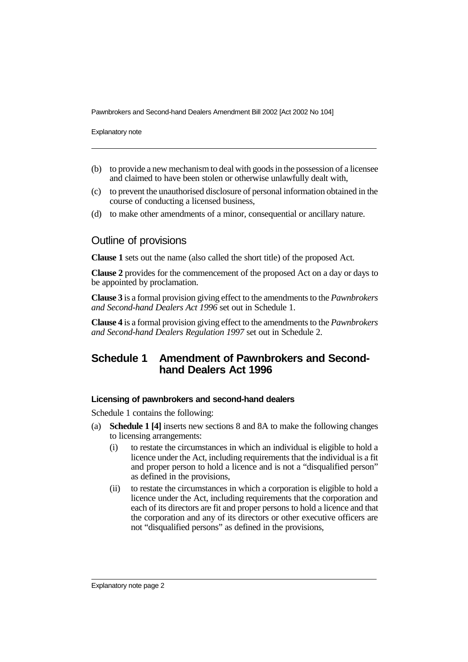Explanatory note

- (b) to provide a new mechanism to deal with goods in the possession of a licensee and claimed to have been stolen or otherwise unlawfully dealt with,
- (c) to prevent the unauthorised disclosure of personal information obtained in the course of conducting a licensed business,
- (d) to make other amendments of a minor, consequential or ancillary nature.

### Outline of provisions

**Clause 1** sets out the name (also called the short title) of the proposed Act.

**Clause 2** provides for the commencement of the proposed Act on a day or days to be appointed by proclamation.

**Clause 3** is a formal provision giving effect to the amendments to the *Pawnbrokers and Second-hand Dealers Act 1996* set out in Schedule 1.

**Clause 4** is a formal provision giving effect to the amendments to the *Pawnbrokers and Second-hand Dealers Regulation 1997* set out in Schedule 2.

## **Schedule 1 Amendment of Pawnbrokers and Secondhand Dealers Act 1996**

#### **Licensing of pawnbrokers and second-hand dealers**

Schedule 1 contains the following:

- (a) **Schedule 1 [4]** inserts new sections 8 and 8A to make the following changes to licensing arrangements:
	- (i) to restate the circumstances in which an individual is eligible to hold a licence under the Act, including requirements that the individual is a fit and proper person to hold a licence and is not a "disqualified person" as defined in the provisions,
	- (ii) to restate the circumstances in which a corporation is eligible to hold a licence under the Act, including requirements that the corporation and each of its directors are fit and proper persons to hold a licence and that the corporation and any of its directors or other executive officers are not "disqualified persons" as defined in the provisions,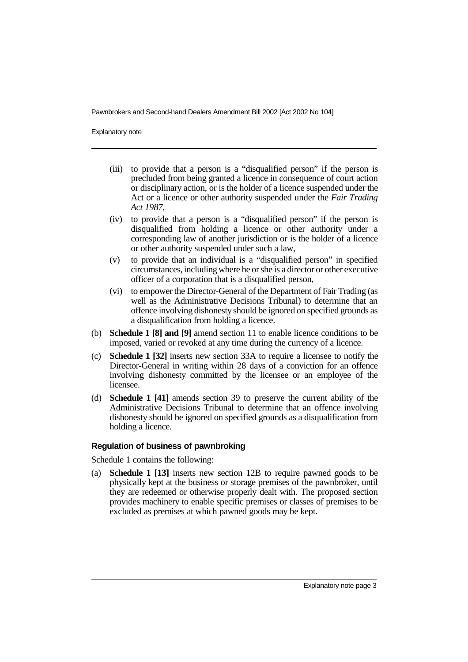Explanatory note

- (iii) to provide that a person is a "disqualified person" if the person is precluded from being granted a licence in consequence of court action or disciplinary action, or is the holder of a licence suspended under the Act or a licence or other authority suspended under the *Fair Trading Act 1987*,
- (iv) to provide that a person is a "disqualified person" if the person is disqualified from holding a licence or other authority under a corresponding law of another jurisdiction or is the holder of a licence or other authority suspended under such a law,
- (v) to provide that an individual is a "disqualified person" in specified circumstances, including where he or she is a director or other executive officer of a corporation that is a disqualified person,
- (vi) to empower the Director-General of the Department of Fair Trading (as well as the Administrative Decisions Tribunal) to determine that an offence involving dishonesty should be ignored on specified grounds as a disqualification from holding a licence.
- (b) **Schedule 1 [8] and [9]** amend section 11 to enable licence conditions to be imposed, varied or revoked at any time during the currency of a licence.
- (c) **Schedule 1 [32]** inserts new section 33A to require a licensee to notify the Director-General in writing within 28 days of a conviction for an offence involving dishonesty committed by the licensee or an employee of the licensee.
- (d) **Schedule 1 [41]** amends section 39 to preserve the current ability of the Administrative Decisions Tribunal to determine that an offence involving dishonesty should be ignored on specified grounds as a disqualification from holding a licence.

#### **Regulation of business of pawnbroking**

Schedule 1 contains the following:

(a) **Schedule 1 [13]** inserts new section 12B to require pawned goods to be physically kept at the business or storage premises of the pawnbroker, until they are redeemed or otherwise properly dealt with. The proposed section provides machinery to enable specific premises or classes of premises to be excluded as premises at which pawned goods may be kept.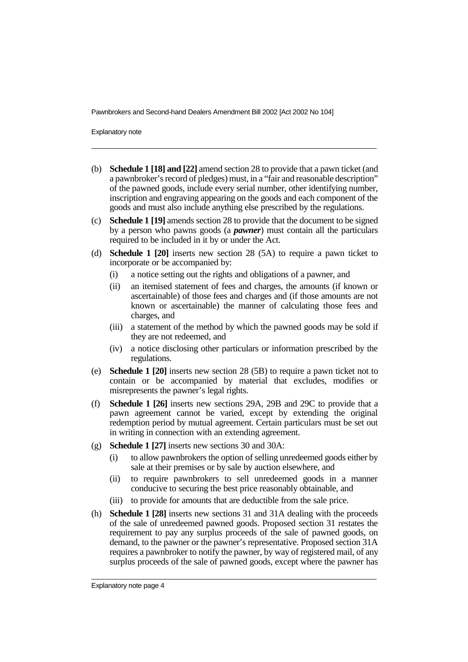Explanatory note

- (b) **Schedule 1 [18] and [22]** amend section 28 to provide that a pawn ticket (and a pawnbroker's record of pledges) must, in a "fair and reasonable description" of the pawned goods, include every serial number, other identifying number, inscription and engraving appearing on the goods and each component of the goods and must also include anything else prescribed by the regulations.
- (c) **Schedule 1 [19]** amends section 28 to provide that the document to be signed by a person who pawns goods (a *pawner*) must contain all the particulars required to be included in it by or under the Act.
- (d) **Schedule 1 [20]** inserts new section 28 (5A) to require a pawn ticket to incorporate or be accompanied by:
	- (i) a notice setting out the rights and obligations of a pawner, and
	- (ii) an itemised statement of fees and charges, the amounts (if known or ascertainable) of those fees and charges and (if those amounts are not known or ascertainable) the manner of calculating those fees and charges, and
	- (iii) a statement of the method by which the pawned goods may be sold if they are not redeemed, and
	- (iv) a notice disclosing other particulars or information prescribed by the regulations.
- (e) **Schedule 1 [20]** inserts new section 28 (5B) to require a pawn ticket not to contain or be accompanied by material that excludes, modifies or misrepresents the pawner's legal rights.
- (f) **Schedule 1 [26]** inserts new sections 29A, 29B and 29C to provide that a pawn agreement cannot be varied, except by extending the original redemption period by mutual agreement. Certain particulars must be set out in writing in connection with an extending agreement.
- (g) **Schedule 1 [27]** inserts new sections 30 and 30A:
	- (i) to allow pawnbrokers the option of selling unredeemed goods either by sale at their premises or by sale by auction elsewhere, and
	- (ii) to require pawnbrokers to sell unredeemed goods in a manner conducive to securing the best price reasonably obtainable, and
	- (iii) to provide for amounts that are deductible from the sale price.
- (h) **Schedule 1 [28]** inserts new sections 31 and 31A dealing with the proceeds of the sale of unredeemed pawned goods. Proposed section 31 restates the requirement to pay any surplus proceeds of the sale of pawned goods, on demand, to the pawner or the pawner's representative. Proposed section 31A requires a pawnbroker to notify the pawner, by way of registered mail, of any surplus proceeds of the sale of pawned goods, except where the pawner has

Explanatory note page 4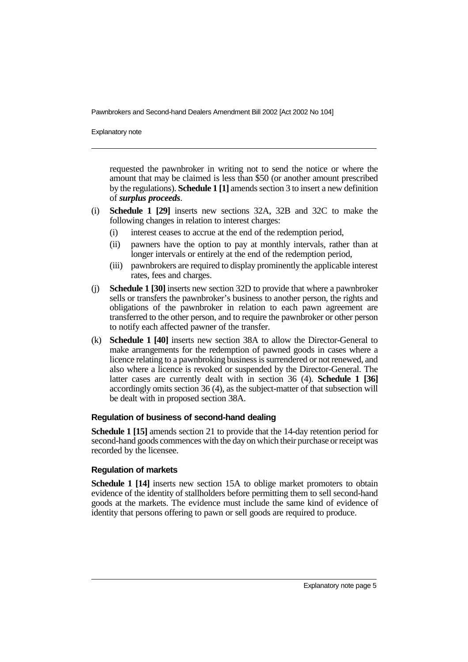Explanatory note

requested the pawnbroker in writing not to send the notice or where the amount that may be claimed is less than \$50 (or another amount prescribed by the regulations). **Schedule 1 [1]** amends section 3 to insert a new definition of *surplus proceeds*.

- (i) **Schedule 1 [29]** inserts new sections 32A, 32B and 32C to make the following changes in relation to interest charges:
	- (i) interest ceases to accrue at the end of the redemption period,
	- (ii) pawners have the option to pay at monthly intervals, rather than at longer intervals or entirely at the end of the redemption period,
	- (iii) pawnbrokers are required to display prominently the applicable interest rates, fees and charges.
- (j) **Schedule 1 [30]** inserts new section 32D to provide that where a pawnbroker sells or transfers the pawnbroker's business to another person, the rights and obligations of the pawnbroker in relation to each pawn agreement are transferred to the other person, and to require the pawnbroker or other person to notify each affected pawner of the transfer.
- (k) **Schedule 1 [40]** inserts new section 38A to allow the Director-General to make arrangements for the redemption of pawned goods in cases where a licence relating to a pawnbroking business is surrendered or not renewed, and also where a licence is revoked or suspended by the Director-General. The latter cases are currently dealt with in section 36 (4). **Schedule 1 [36]** accordingly omits section 36 (4), as the subject-matter of that subsection will be dealt with in proposed section 38A.

#### **Regulation of business of second-hand dealing**

**Schedule 1 [15]** amends section 21 to provide that the 14-day retention period for second-hand goods commences with the day on which their purchase or receipt was recorded by the licensee.

#### **Regulation of markets**

**Schedule 1 [14]** inserts new section 15A to oblige market promoters to obtain evidence of the identity of stallholders before permitting them to sell second-hand goods at the markets. The evidence must include the same kind of evidence of identity that persons offering to pawn or sell goods are required to produce.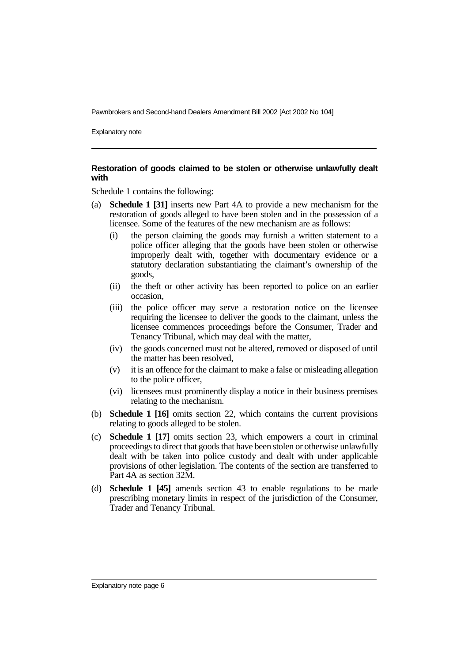Explanatory note

#### **Restoration of goods claimed to be stolen or otherwise unlawfully dealt with**

Schedule 1 contains the following:

- (a) **Schedule 1 [31]** inserts new Part 4A to provide a new mechanism for the restoration of goods alleged to have been stolen and in the possession of a licensee. Some of the features of the new mechanism are as follows:
	- (i) the person claiming the goods may furnish a written statement to a police officer alleging that the goods have been stolen or otherwise improperly dealt with, together with documentary evidence or a statutory declaration substantiating the claimant's ownership of the goods,
	- (ii) the theft or other activity has been reported to police on an earlier occasion,
	- (iii) the police officer may serve a restoration notice on the licensee requiring the licensee to deliver the goods to the claimant, unless the licensee commences proceedings before the Consumer, Trader and Tenancy Tribunal, which may deal with the matter,
	- (iv) the goods concerned must not be altered, removed or disposed of until the matter has been resolved,
	- (v) it is an offence for the claimant to make a false or misleading allegation to the police officer,
	- (vi) licensees must prominently display a notice in their business premises relating to the mechanism.
- (b) **Schedule 1 [16]** omits section 22, which contains the current provisions relating to goods alleged to be stolen.
- (c) **Schedule 1 [17]** omits section 23, which empowers a court in criminal proceedings to direct that goods that have been stolen or otherwise unlawfully dealt with be taken into police custody and dealt with under applicable provisions of other legislation. The contents of the section are transferred to Part 4A as section 32M.
- (d) **Schedule 1 [45]** amends section 43 to enable regulations to be made prescribing monetary limits in respect of the jurisdiction of the Consumer, Trader and Tenancy Tribunal.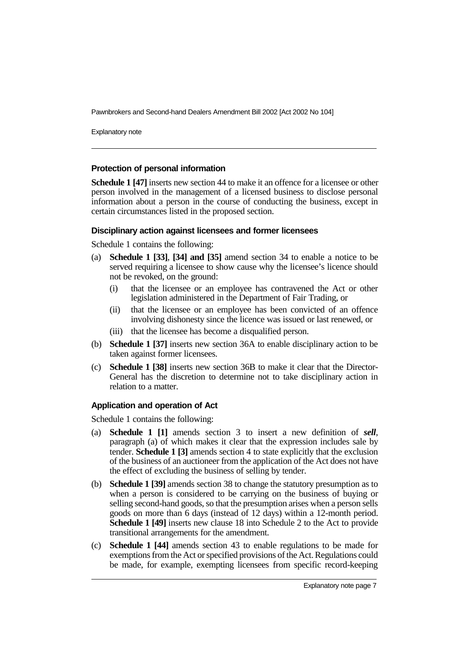Explanatory note

#### **Protection of personal information**

**Schedule 1 [47]** inserts new section 44 to make it an offence for a licensee or other person involved in the management of a licensed business to disclose personal information about a person in the course of conducting the business, except in certain circumstances listed in the proposed section.

#### **Disciplinary action against licensees and former licensees**

Schedule 1 contains the following:

- (a) **Schedule 1 [33]**, **[34] and [35]** amend section 34 to enable a notice to be served requiring a licensee to show cause why the licensee's licence should not be revoked, on the ground:
	- (i) that the licensee or an employee has contravened the Act or other legislation administered in the Department of Fair Trading, or
	- (ii) that the licensee or an employee has been convicted of an offence involving dishonesty since the licence was issued or last renewed, or
	- (iii) that the licensee has become a disqualified person.
- (b) **Schedule 1 [37]** inserts new section 36A to enable disciplinary action to be taken against former licensees.
- (c) **Schedule 1 [38]** inserts new section 36B to make it clear that the Director-General has the discretion to determine not to take disciplinary action in relation to a matter.

#### **Application and operation of Act**

Schedule 1 contains the following:

- (a) **Schedule 1 [1]** amends section 3 to insert a new definition of *sell*, paragraph (a) of which makes it clear that the expression includes sale by tender. **Schedule 1 [3]** amends section 4 to state explicitly that the exclusion of the business of an auctioneer from the application of the Act does not have the effect of excluding the business of selling by tender.
- (b) **Schedule 1 [39]** amends section 38 to change the statutory presumption as to when a person is considered to be carrying on the business of buying or selling second-hand goods, so that the presumption arises when a person sells goods on more than 6 days (instead of 12 days) within a 12-month period. **Schedule 1 [49]** inserts new clause 18 into Schedule 2 to the Act to provide transitional arrangements for the amendment.
- (c) **Schedule 1 [44]** amends section 43 to enable regulations to be made for exemptions from the Act or specified provisions of the Act. Regulations could be made, for example, exempting licensees from specific record-keeping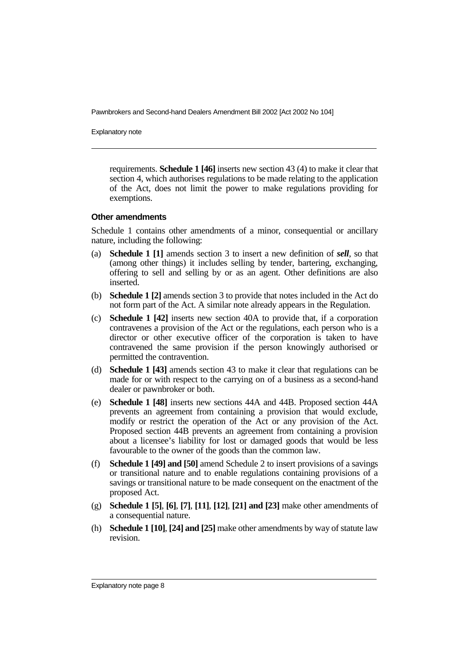Explanatory note

requirements. **Schedule 1 [46]** inserts new section 43 (4) to make it clear that section 4, which authorises regulations to be made relating to the application of the Act, does not limit the power to make regulations providing for exemptions.

#### **Other amendments**

Schedule 1 contains other amendments of a minor, consequential or ancillary nature, including the following:

- (a) **Schedule 1 [1]** amends section 3 to insert a new definition of *sell*, so that (among other things) it includes selling by tender, bartering, exchanging, offering to sell and selling by or as an agent. Other definitions are also inserted.
- (b) **Schedule 1 [2]** amends section 3 to provide that notes included in the Act do not form part of the Act. A similar note already appears in the Regulation.
- (c) **Schedule 1 [42]** inserts new section 40A to provide that, if a corporation contravenes a provision of the Act or the regulations, each person who is a director or other executive officer of the corporation is taken to have contravened the same provision if the person knowingly authorised or permitted the contravention.
- (d) **Schedule 1 [43]** amends section 43 to make it clear that regulations can be made for or with respect to the carrying on of a business as a second-hand dealer or pawnbroker or both.
- (e) **Schedule 1 [48]** inserts new sections 44A and 44B. Proposed section 44A prevents an agreement from containing a provision that would exclude, modify or restrict the operation of the Act or any provision of the Act. Proposed section 44B prevents an agreement from containing a provision about a licensee's liability for lost or damaged goods that would be less favourable to the owner of the goods than the common law.
- (f) **Schedule 1 [49] and [50]** amend Schedule 2 to insert provisions of a savings or transitional nature and to enable regulations containing provisions of a savings or transitional nature to be made consequent on the enactment of the proposed Act.
- (g) **Schedule 1 [5]**, **[6]**, **[7]**, **[11]**, **[12]**, **[21] and [23]** make other amendments of a consequential nature.
- (h) **Schedule 1 [10]**, **[24] and [25]** make other amendments by way of statute law revision.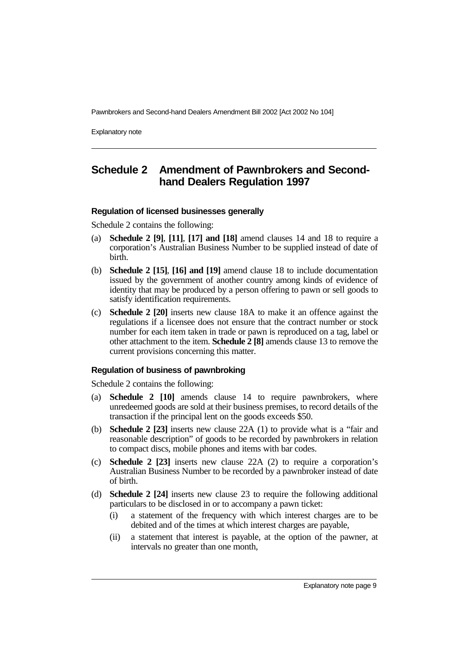Explanatory note

## **Schedule 2 Amendment of Pawnbrokers and Secondhand Dealers Regulation 1997**

#### **Regulation of licensed businesses generally**

Schedule 2 contains the following:

- (a) **Schedule 2 [9]**, **[11]**, **[17] and [18]** amend clauses 14 and 18 to require a corporation's Australian Business Number to be supplied instead of date of birth.
- (b) **Schedule 2 [15]**, **[16] and [19]** amend clause 18 to include documentation issued by the government of another country among kinds of evidence of identity that may be produced by a person offering to pawn or sell goods to satisfy identification requirements.
- (c) **Schedule 2 [20]** inserts new clause 18A to make it an offence against the regulations if a licensee does not ensure that the contract number or stock number for each item taken in trade or pawn is reproduced on a tag, label or other attachment to the item. **Schedule 2 [8]** amends clause 13 to remove the current provisions concerning this matter.

#### **Regulation of business of pawnbroking**

Schedule 2 contains the following:

- (a) **Schedule 2 [10]** amends clause 14 to require pawnbrokers, where unredeemed goods are sold at their business premises, to record details of the transaction if the principal lent on the goods exceeds \$50.
- (b) **Schedule 2 [23]** inserts new clause 22A (1) to provide what is a "fair and reasonable description" of goods to be recorded by pawnbrokers in relation to compact discs, mobile phones and items with bar codes.
- (c) **Schedule 2 [23]** inserts new clause 22A (2) to require a corporation's Australian Business Number to be recorded by a pawnbroker instead of date of birth.
- (d) **Schedule 2 [24]** inserts new clause 23 to require the following additional particulars to be disclosed in or to accompany a pawn ticket:
	- (i) a statement of the frequency with which interest charges are to be debited and of the times at which interest charges are payable,
	- (ii) a statement that interest is payable, at the option of the pawner, at intervals no greater than one month,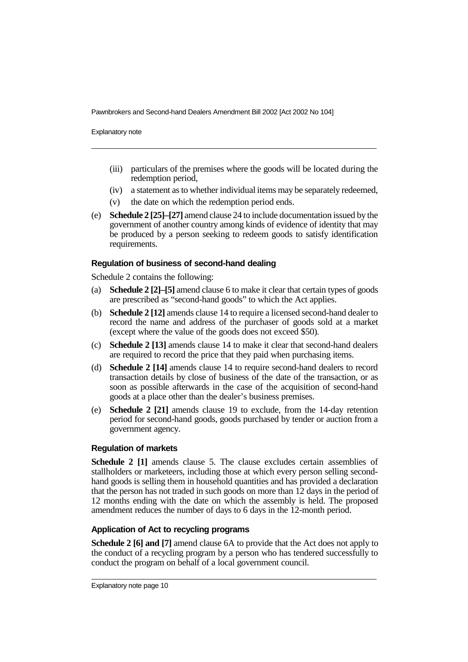Explanatory note

- (iii) particulars of the premises where the goods will be located during the redemption period,
- (iv) a statement as to whether individual items may be separately redeemed,
- (v) the date on which the redemption period ends.
- (e) **Schedule 2 [25]–[27]** amend clause 24 to include documentation issued by the government of another country among kinds of evidence of identity that may be produced by a person seeking to redeem goods to satisfy identification requirements.

#### **Regulation of business of second-hand dealing**

Schedule 2 contains the following:

- (a) **Schedule 2 [2]–[5]** amend clause 6 to make it clear that certain types of goods are prescribed as "second-hand goods" to which the Act applies.
- (b) **Schedule 2 [12]** amends clause 14 to require a licensed second-hand dealer to record the name and address of the purchaser of goods sold at a market (except where the value of the goods does not exceed \$50).
- (c) **Schedule 2 [13]** amends clause 14 to make it clear that second-hand dealers are required to record the price that they paid when purchasing items.
- (d) **Schedule 2 [14]** amends clause 14 to require second-hand dealers to record transaction details by close of business of the date of the transaction, or as soon as possible afterwards in the case of the acquisition of second-hand goods at a place other than the dealer's business premises.
- (e) **Schedule 2 [21]** amends clause 19 to exclude, from the 14-day retention period for second-hand goods, goods purchased by tender or auction from a government agency.

#### **Regulation of markets**

**Schedule 2 [1]** amends clause 5. The clause excludes certain assemblies of stallholders or marketeers, including those at which every person selling secondhand goods is selling them in household quantities and has provided a declaration that the person has not traded in such goods on more than 12 days in the period of 12 months ending with the date on which the assembly is held. The proposed amendment reduces the number of days to 6 days in the 12-month period.

#### **Application of Act to recycling programs**

**Schedule 2 [6] and [7]** amend clause 6A to provide that the Act does not apply to the conduct of a recycling program by a person who has tendered successfully to conduct the program on behalf of a local government council.